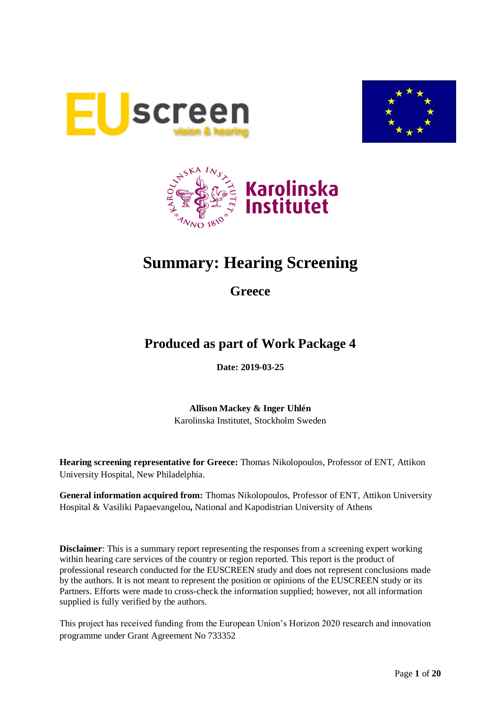





# **Summary: Hearing Screening**

**Greece**

# **Produced as part of Work Package 4**

**Date: 2019-03-25**

**Allison Mackey & Inger Uhlén** Karolinska Institutet, Stockholm Sweden

**Hearing screening representative for Greece:** Thomas Nikolopoulos, Professor of ENT, Attikon University Hospital, New Philadelphia.

**General information acquired from:** Thomas Nikolopoulos, Professor of ENT, Attikon University Hospital & Vasiliki Papaevangelou**,** National and Kapodistrian University of Athens

**Disclaimer**: This is a summary report representing the responses from a screening expert working within hearing care services of the country or region reported. This report is the product of professional research conducted for the EUSCREEN study and does not represent conclusions made by the authors. It is not meant to represent the position or opinions of the EUSCREEN study or its Partners. Efforts were made to cross-check the information supplied; however, not all information supplied is fully verified by the authors.

This project has received funding from the European Union's Horizon 2020 research and innovation programme under Grant Agreement No 733352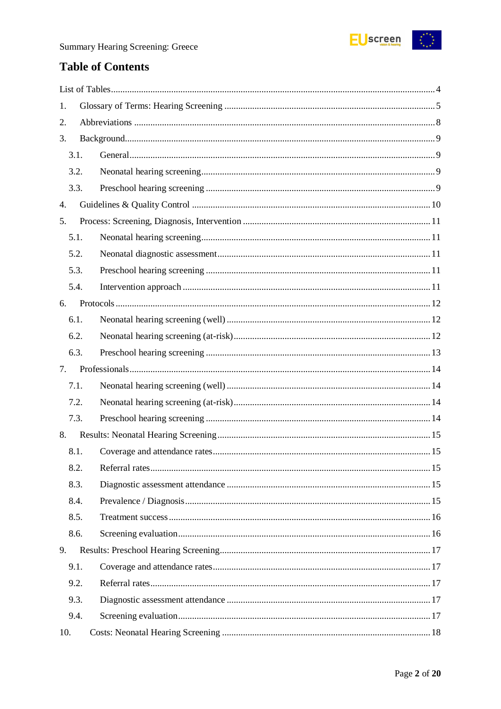

# **Table of Contents**

| 1.   |  |
|------|--|
| 2.   |  |
| 3.   |  |
| 3.1. |  |
| 3.2. |  |
| 3.3. |  |
| 4.   |  |
| 5.   |  |
| 5.1. |  |
| 5.2. |  |
| 5.3. |  |
| 5.4. |  |
| 6.   |  |
| 6.1. |  |
| 6.2. |  |
| 6.3. |  |
| 7.   |  |
| 7.1. |  |
| 7.2. |  |
| 7.3. |  |
| 8.   |  |
| 8.1. |  |
| 8.2. |  |
| 8.3. |  |
| 8.4. |  |
| 8.5. |  |
| 8.6. |  |
| 9.   |  |
| 9.1. |  |
| 9.2. |  |
| 9.3. |  |
|      |  |
| 9.4. |  |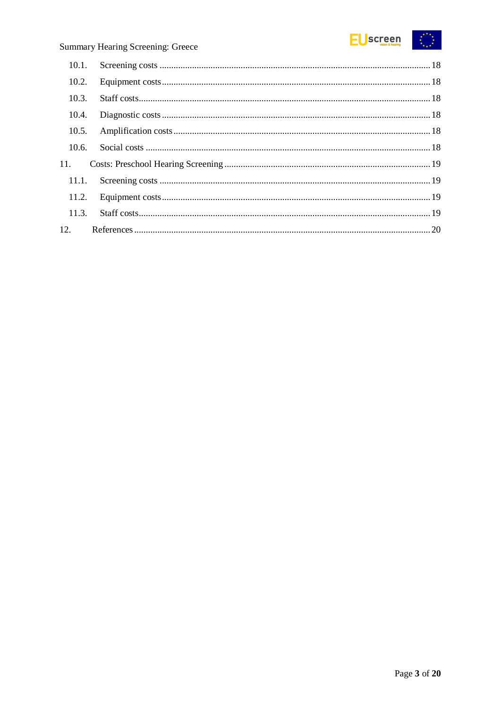

# Summary Hearing Screening: Greece

| 10.2. |  |
|-------|--|
| 10.3. |  |
| 10.4. |  |
| 10.5. |  |
| 10.6. |  |
| 11.   |  |
| 11.1. |  |
|       |  |
| 11.3. |  |
|       |  |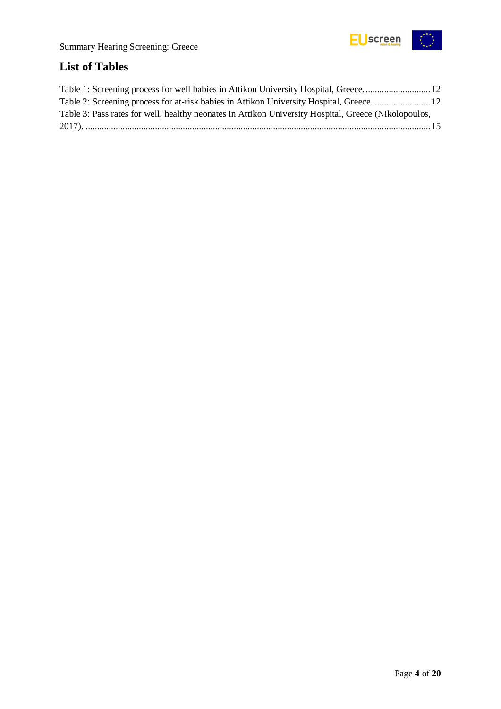

# <span id="page-3-0"></span>**List of Tables**

| Table 2: Screening process for at-risk babies in Attikon University Hospital, Greece.  12            |  |
|------------------------------------------------------------------------------------------------------|--|
| Table 3: Pass rates for well, healthy neonates in Attikon University Hospital, Greece (Nikolopoulos, |  |
|                                                                                                      |  |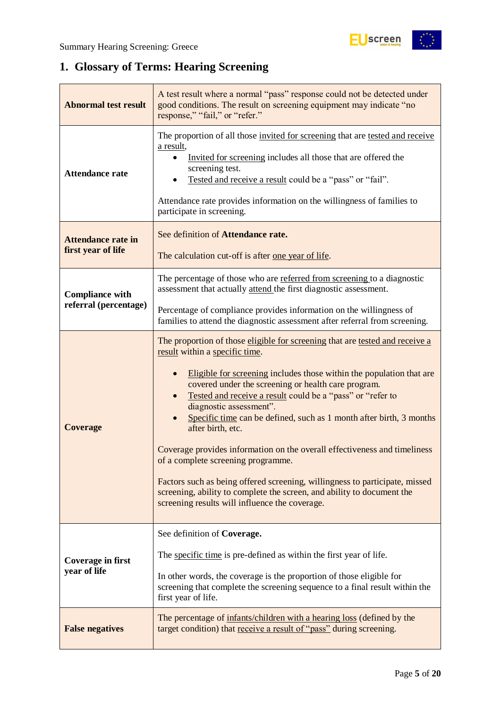# <span id="page-4-0"></span>**1. Glossary of Terms: Hearing Screening**

| <b>Abnormal test result</b>                                                                                                                                             | A test result where a normal "pass" response could not be detected under<br>good conditions. The result on screening equipment may indicate "no<br>response," "fail," or "refer."                                                                                                                                                                                                                                                                                                                                                                                                                                                                                                                                                                                |  |  |
|-------------------------------------------------------------------------------------------------------------------------------------------------------------------------|------------------------------------------------------------------------------------------------------------------------------------------------------------------------------------------------------------------------------------------------------------------------------------------------------------------------------------------------------------------------------------------------------------------------------------------------------------------------------------------------------------------------------------------------------------------------------------------------------------------------------------------------------------------------------------------------------------------------------------------------------------------|--|--|
| <b>Attendance rate</b>                                                                                                                                                  | The proportion of all those invited for screening that are tested and receive<br>a result,<br>Invited for screening includes all those that are offered the<br>screening test.<br>Tested and receive a result could be a "pass" or "fail".<br>Attendance rate provides information on the willingness of families to<br>participate in screening.                                                                                                                                                                                                                                                                                                                                                                                                                |  |  |
| <b>Attendance rate in</b><br>first year of life                                                                                                                         | See definition of Attendance rate.<br>The calculation cut-off is after one year of life.                                                                                                                                                                                                                                                                                                                                                                                                                                                                                                                                                                                                                                                                         |  |  |
| <b>Compliance with</b>                                                                                                                                                  | The percentage of those who are referred from screening to a diagnostic<br>assessment that actually attend the first diagnostic assessment.                                                                                                                                                                                                                                                                                                                                                                                                                                                                                                                                                                                                                      |  |  |
| referral (percentage)                                                                                                                                                   | Percentage of compliance provides information on the willingness of<br>families to attend the diagnostic assessment after referral from screening.                                                                                                                                                                                                                                                                                                                                                                                                                                                                                                                                                                                                               |  |  |
| <b>Coverage</b>                                                                                                                                                         | The proportion of those eligible for screening that are tested and receive a<br>result within a specific time.<br>Eligible for screening includes those within the population that are<br>covered under the screening or health care program.<br>Tested and receive a result could be a "pass" or "refer to<br>diagnostic assessment".<br>Specific time can be defined, such as 1 month after birth, 3 months<br>after birth, etc.<br>Coverage provides information on the overall effectiveness and timeliness<br>of a complete screening programme.<br>Factors such as being offered screening, willingness to participate, missed<br>screening, ability to complete the screen, and ability to document the<br>screening results will influence the coverage. |  |  |
| <b>Coverage in first</b><br>year of life                                                                                                                                | See definition of Coverage.<br>The specific time is pre-defined as within the first year of life.<br>In other words, the coverage is the proportion of those eligible for<br>screening that complete the screening sequence to a final result within the<br>first year of life.                                                                                                                                                                                                                                                                                                                                                                                                                                                                                  |  |  |
| The percentage of infants/children with a hearing loss (defined by the<br>target condition) that receive a result of "pass" during screening.<br><b>False negatives</b> |                                                                                                                                                                                                                                                                                                                                                                                                                                                                                                                                                                                                                                                                                                                                                                  |  |  |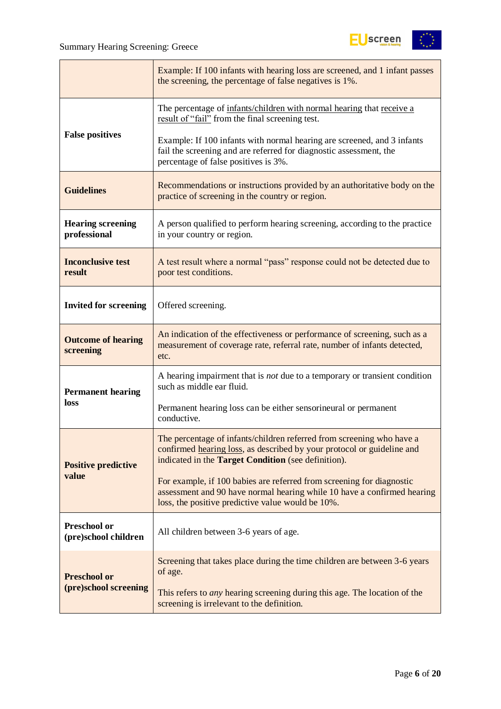

|                                                                                                                                                                                                         | Example: If 100 infants with hearing loss are screened, and 1 infant passes<br>the screening, the percentage of false negatives is 1%.                                                                 |
|---------------------------------------------------------------------------------------------------------------------------------------------------------------------------------------------------------|--------------------------------------------------------------------------------------------------------------------------------------------------------------------------------------------------------|
|                                                                                                                                                                                                         | The percentage of infants/children with normal hearing that receive a<br>result of "fail" from the final screening test.                                                                               |
| <b>False positives</b>                                                                                                                                                                                  | Example: If 100 infants with normal hearing are screened, and 3 infants<br>fail the screening and are referred for diagnostic assessment, the<br>percentage of false positives is 3%.                  |
| <b>Guidelines</b>                                                                                                                                                                                       | Recommendations or instructions provided by an authoritative body on the<br>practice of screening in the country or region.                                                                            |
| <b>Hearing screening</b><br>A person qualified to perform hearing screening, according to the practice<br>professional<br>in your country or region.                                                    |                                                                                                                                                                                                        |
| <b>Inconclusive test</b><br>A test result where a normal "pass" response could not be detected due to<br>result<br>poor test conditions.                                                                |                                                                                                                                                                                                        |
| <b>Invited for screening</b>                                                                                                                                                                            | Offered screening.                                                                                                                                                                                     |
| An indication of the effectiveness or performance of screening, such as a<br><b>Outcome of hearing</b><br>measurement of coverage rate, referral rate, number of infants detected,<br>screening<br>etc. |                                                                                                                                                                                                        |
| <b>Permanent hearing</b>                                                                                                                                                                                | A hearing impairment that is <i>not</i> due to a temporary or transient condition<br>such as middle ear fluid.                                                                                         |
| <b>loss</b>                                                                                                                                                                                             | Permanent hearing loss can be either sensorineural or permanent<br>conductive.                                                                                                                         |
| <b>Positive predictive</b>                                                                                                                                                                              | The percentage of infants/children referred from screening who have a<br>confirmed hearing loss, as described by your protocol or guideline and<br>indicated in the Target Condition (see definition). |
| value                                                                                                                                                                                                   | For example, if 100 babies are referred from screening for diagnostic<br>assessment and 90 have normal hearing while 10 have a confirmed hearing<br>loss, the positive predictive value would be 10%.  |
| <b>Preschool or</b><br>(pre)school children                                                                                                                                                             | All children between 3-6 years of age.                                                                                                                                                                 |
| <b>Preschool or</b>                                                                                                                                                                                     | Screening that takes place during the time children are between 3-6 years<br>of age.                                                                                                                   |
| (pre)school screening                                                                                                                                                                                   | This refers to <i>any</i> hearing screening during this age. The location of the<br>screening is irrelevant to the definition.                                                                         |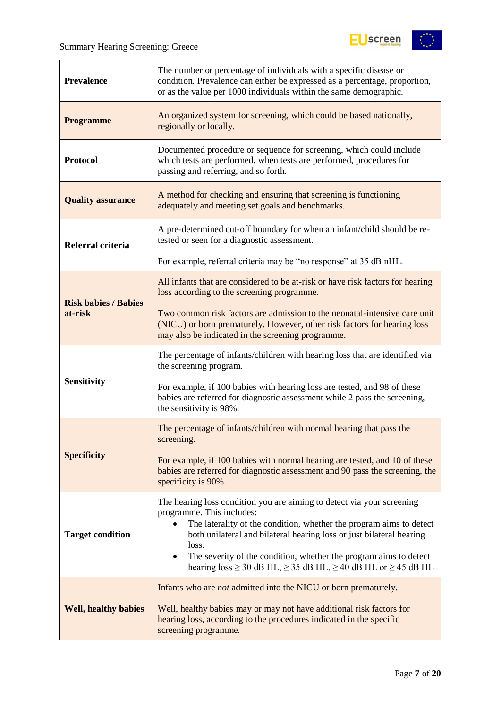

| The number or percentage of individuals with a specific disease or<br><b>Prevalence</b><br>condition. Prevalence can either be expressed as a percentage, proportion,<br>or as the value per 1000 individuals within the same demographic.                                                                                                                                                                                                   |                                                                                                                                                                                                            |
|----------------------------------------------------------------------------------------------------------------------------------------------------------------------------------------------------------------------------------------------------------------------------------------------------------------------------------------------------------------------------------------------------------------------------------------------|------------------------------------------------------------------------------------------------------------------------------------------------------------------------------------------------------------|
| <b>Programme</b>                                                                                                                                                                                                                                                                                                                                                                                                                             | An organized system for screening, which could be based nationally,<br>regionally or locally.                                                                                                              |
| <b>Protocol</b>                                                                                                                                                                                                                                                                                                                                                                                                                              | Documented procedure or sequence for screening, which could include<br>which tests are performed, when tests are performed, procedures for<br>passing and referring, and so forth.                         |
| A method for checking and ensuring that screening is functioning<br><b>Quality assurance</b><br>adequately and meeting set goals and benchmarks.                                                                                                                                                                                                                                                                                             |                                                                                                                                                                                                            |
| Referral criteria                                                                                                                                                                                                                                                                                                                                                                                                                            | A pre-determined cut-off boundary for when an infant/child should be re-<br>tested or seen for a diagnostic assessment.                                                                                    |
|                                                                                                                                                                                                                                                                                                                                                                                                                                              | For example, referral criteria may be "no response" at 35 dB nHL.                                                                                                                                          |
| <b>Risk babies / Babies</b>                                                                                                                                                                                                                                                                                                                                                                                                                  | All infants that are considered to be at-risk or have risk factors for hearing<br>loss according to the screening programme.                                                                               |
| at-risk                                                                                                                                                                                                                                                                                                                                                                                                                                      | Two common risk factors are admission to the neonatal-intensive care unit<br>(NICU) or born prematurely. However, other risk factors for hearing loss<br>may also be indicated in the screening programme. |
|                                                                                                                                                                                                                                                                                                                                                                                                                                              | The percentage of infants/children with hearing loss that are identified via<br>the screening program.                                                                                                     |
| <b>Sensitivity</b>                                                                                                                                                                                                                                                                                                                                                                                                                           | For example, if 100 babies with hearing loss are tested, and 98 of these<br>babies are referred for diagnostic assessment while 2 pass the screening,<br>the sensitivity is 98%.                           |
|                                                                                                                                                                                                                                                                                                                                                                                                                                              | The percentage of infants/children with normal hearing that pass the<br>screening.                                                                                                                         |
| <b>Specificity</b>                                                                                                                                                                                                                                                                                                                                                                                                                           | For example, if 100 babies with normal hearing are tested, and 10 of these<br>babies are referred for diagnostic assessment and 90 pass the screening, the<br>specificity is 90%.                          |
| The hearing loss condition you are aiming to detect via your screening<br>programme. This includes:<br>The laterality of the condition, whether the program aims to detect<br>both unilateral and bilateral hearing loss or just bilateral hearing<br><b>Target condition</b><br>loss.<br>The severity of the condition, whether the program aims to detect<br>hearing $loss \ge 30$ dB HL, $\ge 35$ dB HL, $\ge 40$ dB HL or $\ge 45$ dB HL |                                                                                                                                                                                                            |
| Infants who are <i>not</i> admitted into the NICU or born prematurely.<br><b>Well, healthy babies</b><br>Well, healthy babies may or may not have additional risk factors for<br>hearing loss, according to the procedures indicated in the specific<br>screening programme.                                                                                                                                                                 |                                                                                                                                                                                                            |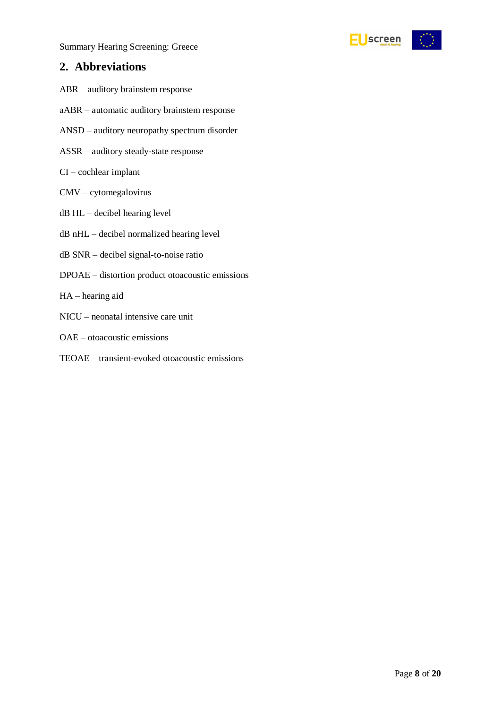Summary Hearing Screening: Greece



### <span id="page-7-0"></span>**2. Abbreviations**

- ABR auditory brainstem response
- aABR automatic auditory brainstem response
- ANSD auditory neuropathy spectrum disorder
- ASSR auditory steady-state response
- CI cochlear implant
- CMV cytomegalovirus
- dB HL decibel hearing level
- dB nHL decibel normalized hearing level
- dB SNR decibel signal-to-noise ratio
- DPOAE distortion product otoacoustic emissions
- HA hearing aid
- NICU neonatal intensive care unit
- OAE otoacoustic emissions
- TEOAE transient-evoked otoacoustic emissions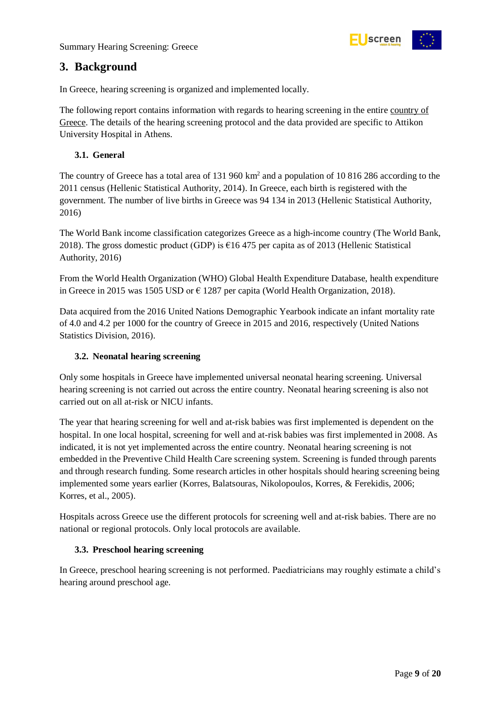

### <span id="page-8-0"></span>**3. Background**

In Greece, hearing screening is organized and implemented locally.

The following report contains information with regards to hearing screening in the entire country of Greece. The details of the hearing screening protocol and the data provided are specific to Attikon University Hospital in Athens.

#### <span id="page-8-1"></span>**3.1. General**

The country of Greece has a total area of 131 960 km<sup>2</sup> and a population of 10 816 286 according to the 2011 census (Hellenic Statistical Authority, 2014). In Greece, each birth is registered with the government. The number of live births in Greece was 94 134 in 2013 (Hellenic Statistical Authority, 2016)

The World Bank income classification categorizes Greece as a high-income country (The World Bank, 2018). The gross domestic product (GDP) is  $\epsilon$ 16 475 per capita as of 2013 (Hellenic Statistical Authority, 2016)

From the World Health Organization (WHO) Global Health Expenditure Database, health expenditure in Greece in 2015 was 1505 USD or  $\epsilon$  1287 per capita (World Health Organization, 2018).

Data acquired from the 2016 United Nations Demographic Yearbook indicate an infant mortality rate of 4.0 and 4.2 per 1000 for the country of Greece in 2015 and 2016, respectively (United Nations Statistics Division, 2016).

#### <span id="page-8-2"></span>**3.2. Neonatal hearing screening**

Only some hospitals in Greece have implemented universal neonatal hearing screening. Universal hearing screening is not carried out across the entire country. Neonatal hearing screening is also not carried out on all at-risk or NICU infants.

The year that hearing screening for well and at-risk babies was first implemented is dependent on the hospital. In one local hospital, screening for well and at-risk babies was first implemented in 2008. As indicated, it is not yet implemented across the entire country. Neonatal hearing screening is not embedded in the Preventive Child Health Care screening system. Screening is funded through parents and through research funding. Some research articles in other hospitals should hearing screening being implemented some years earlier (Korres, Balatsouras, Nikolopoulos, Korres, & Ferekidis, 2006; Korres, et al., 2005).

Hospitals across Greece use the different protocols for screening well and at-risk babies. There are no national or regional protocols. Only local protocols are available.

#### <span id="page-8-3"></span>**3.3. Preschool hearing screening**

In Greece, preschool hearing screening is not performed. Paediatricians may roughly estimate a child's hearing around preschool age.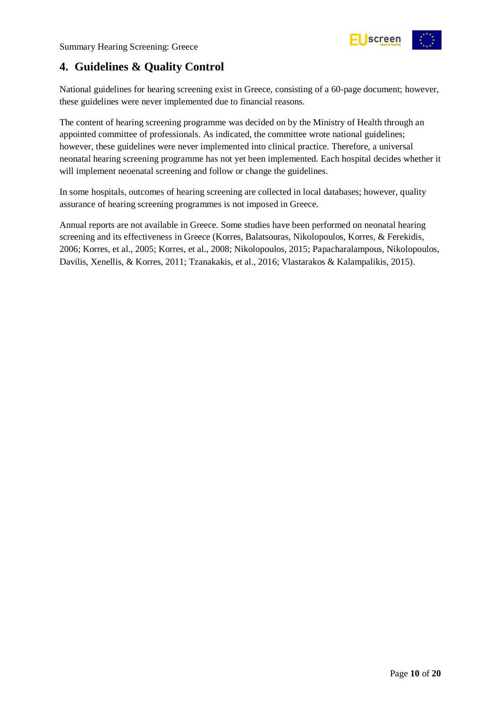

# <span id="page-9-0"></span>**4. Guidelines & Quality Control**

National guidelines for hearing screening exist in Greece, consisting of a 60-page document; however, these guidelines were never implemented due to financial reasons.

The content of hearing screening programme was decided on by the Ministry of Health through an appointed committee of professionals. As indicated, the committee wrote national guidelines; however, these guidelines were never implemented into clinical practice. Therefore, a universal neonatal hearing screening programme has not yet been implemented. Each hospital decides whether it will implement neoenatal screening and follow or change the guidelines.

In some hospitals, outcomes of hearing screening are collected in local databases; however, quality assurance of hearing screening programmes is not imposed in Greece.

Annual reports are not available in Greece. Some studies have been performed on neonatal hearing screening and its effectiveness in Greece (Korres, Balatsouras, Nikolopoulos, Korres, & Ferekidis, 2006; Korres, et al., 2005; Korres, et al., 2008; Nikolopoulos, 2015; Papacharalampous, Nikolopoulos, Davilis, Xenellis, & Korres, 2011; Tzanakakis, et al., 2016; Vlastarakos & Kalampalikis, 2015).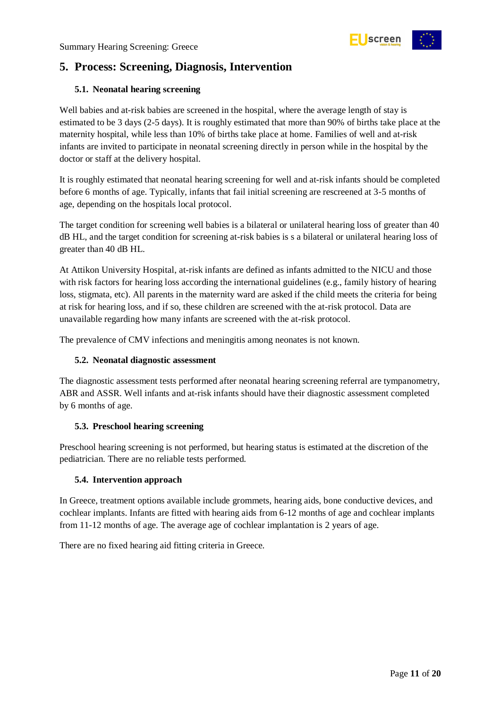

# <span id="page-10-0"></span>**5. Process: Screening, Diagnosis, Intervention**

#### <span id="page-10-1"></span>**5.1. Neonatal hearing screening**

Well babies and at-risk babies are screened in the hospital, where the average length of stay is estimated to be 3 days (2-5 days). It is roughly estimated that more than 90% of births take place at the maternity hospital, while less than 10% of births take place at home. Families of well and at-risk infants are invited to participate in neonatal screening directly in person while in the hospital by the doctor or staff at the delivery hospital.

It is roughly estimated that neonatal hearing screening for well and at-risk infants should be completed before 6 months of age. Typically, infants that fail initial screening are rescreened at 3-5 months of age, depending on the hospitals local protocol.

The target condition for screening well babies is a bilateral or unilateral hearing loss of greater than 40 dB HL, and the target condition for screening at-risk babies is s a bilateral or unilateral hearing loss of greater than 40 dB HL.

At Attikon University Hospital, at-risk infants are defined as infants admitted to the NICU and those with risk factors for hearing loss according the international guidelines (e.g., family history of hearing loss, stigmata, etc). All parents in the maternity ward are asked if the child meets the criteria for being at risk for hearing loss, and if so, these children are screened with the at-risk protocol. Data are unavailable regarding how many infants are screened with the at-risk protocol.

The prevalence of CMV infections and meningitis among neonates is not known.

#### <span id="page-10-2"></span>**5.2. Neonatal diagnostic assessment**

The diagnostic assessment tests performed after neonatal hearing screening referral are tympanometry, ABR and ASSR. Well infants and at-risk infants should have their diagnostic assessment completed by 6 months of age.

#### <span id="page-10-3"></span>**5.3. Preschool hearing screening**

Preschool hearing screening is not performed, but hearing status is estimated at the discretion of the pediatrician. There are no reliable tests performed.

#### <span id="page-10-4"></span>**5.4. Intervention approach**

In Greece, treatment options available include grommets, hearing aids, bone conductive devices, and cochlear implants. Infants are fitted with hearing aids from 6-12 months of age and cochlear implants from 11-12 months of age. The average age of cochlear implantation is 2 years of age.

There are no fixed hearing aid fitting criteria in Greece.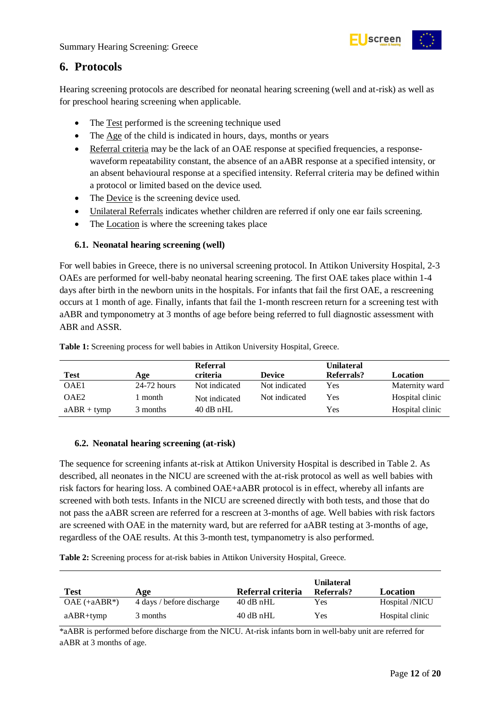

## <span id="page-11-0"></span>**6. Protocols**

Hearing screening protocols are described for neonatal hearing screening (well and at-risk) as well as for preschool hearing screening when applicable.

- The Test performed is the screening technique used
- The Age of the child is indicated in hours, days, months or years
- Referral criteria may be the lack of an OAE response at specified frequencies, a responsewaveform repeatability constant, the absence of an aABR response at a specified intensity, or an absent behavioural response at a specified intensity. Referral criteria may be defined within a protocol or limited based on the device used.
- The Device is the screening device used.
- Unilateral Referrals indicates whether children are referred if only one ear fails screening.
- The Location is where the screening takes place

#### <span id="page-11-1"></span>**6.1. Neonatal hearing screening (well)**

For well babies in Greece, there is no universal screening protocol. In Attikon University Hospital, 2-3 OAEs are performed for well-baby neonatal hearing screening. The first OAE takes place within 1-4 days after birth in the newborn units in the hospitals. For infants that fail the first OAE, a rescreening occurs at 1 month of age. Finally, infants that fail the 1-month rescreen return for a screening test with aABR and tymponometry at 3 months of age before being referred to full diagnostic assessment with ABR and ASSR.

| <b>Test</b>      | Age           | <b>Referral</b><br>criteria | <b>Device</b> | Unilateral<br>Referrals? | Location        |
|------------------|---------------|-----------------------------|---------------|--------------------------|-----------------|
| OAE1             | $24-72$ hours | Not indicated               | Not indicated | Yes                      | Maternity ward  |
| OAE <sub>2</sub> | l month       | Not indicated               | Not indicated | Yes                      | Hospital clinic |
| $aABR + tymp$    | 3 months      | $40$ dB nHL                 |               | Yes                      | Hospital clinic |

<span id="page-11-3"></span>**Table 1:** Screening process for well babies in Attikon University Hospital, Greece.

#### <span id="page-11-2"></span>**6.2. Neonatal hearing screening (at-risk)**

The sequence for screening infants at-risk at Attikon University Hospital is described in Table 2. As described, all neonates in the NICU are screened with the at-risk protocol as well as well babies with risk factors for hearing loss. A combined OAE+aABR protocol is in effect, whereby all infants are screened with both tests. Infants in the NICU are screened directly with both tests, and those that do not pass the aABR screen are referred for a rescreen at 3-months of age. Well babies with risk factors are screened with OAE in the maternity ward, but are referred for aABR testing at 3-months of age, regardless of the OAE results. At this 3-month test, tympanometry is also performed.

<span id="page-11-4"></span>**Table 2:** Screening process for at-risk babies in Attikon University Hospital, Greece.

| <b>Test</b>    | Age                       | Referral criteria | <b>Unilateral</b><br>Referrals? | Location        |
|----------------|---------------------------|-------------------|---------------------------------|-----------------|
| $OAE$ (+aABR*) | 4 days / before discharge | $40$ dB nHL       | Yes                             | Hospital /NICU  |
| $aABR+tymp$    | 3 months                  | $40$ dB nHL       | Yes                             | Hospital clinic |

\*aABR is performed before discharge from the NICU. At-risk infants born in well-baby unit are referred for aABR at 3 months of age.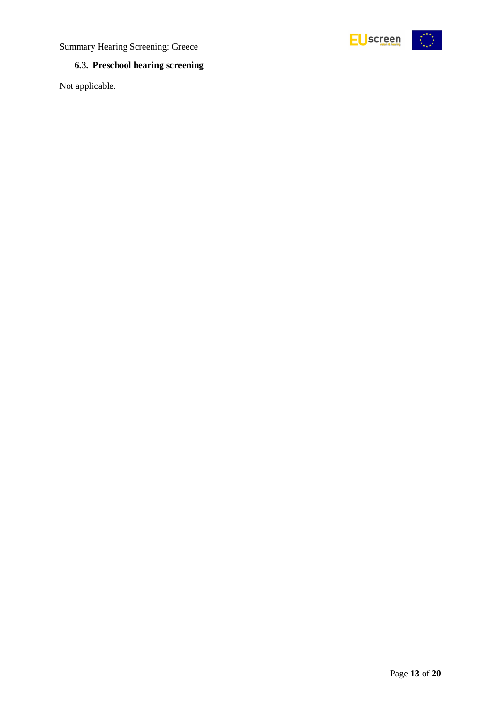



### <span id="page-12-0"></span>**6.3. Preschool hearing screening**

Not applicable.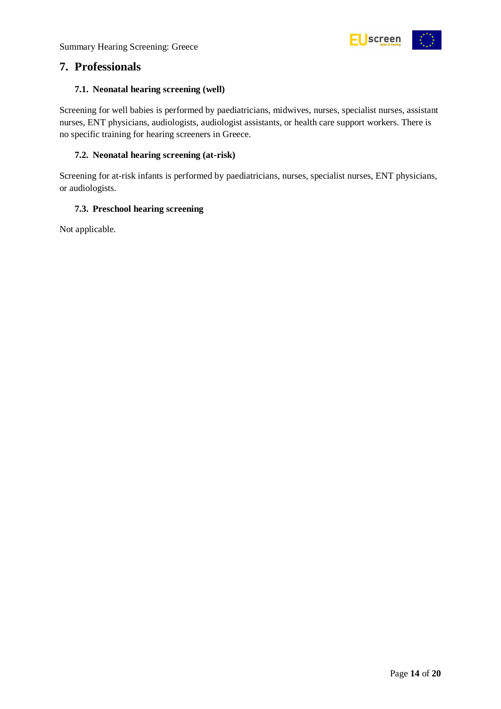

### <span id="page-13-0"></span>**7. Professionals**

#### <span id="page-13-1"></span>**7.1. Neonatal hearing screening (well)**

Screening for well babies is performed by paediatricians, midwives, nurses, specialist nurses, assistant nurses, ENT physicians, audiologists, audiologist assistants, or health care support workers. There is no specific training for hearing screeners in Greece.

#### <span id="page-13-2"></span>**7.2. Neonatal hearing screening (at-risk)**

Screening for at-risk infants is performed by paediatricians, nurses, specialist nurses, ENT physicians, or audiologists.

#### <span id="page-13-3"></span>**7.3. Preschool hearing screening**

Not applicable.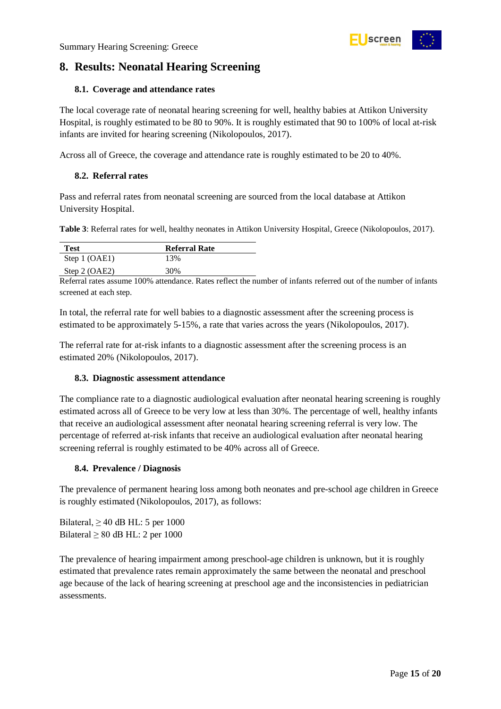

# <span id="page-14-0"></span>**8. Results: Neonatal Hearing Screening**

#### <span id="page-14-1"></span>**8.1. Coverage and attendance rates**

The local coverage rate of neonatal hearing screening for well, healthy babies at Attikon University Hospital, is roughly estimated to be 80 to 90%. It is roughly estimated that 90 to 100% of local at-risk infants are invited for hearing screening (Nikolopoulos, 2017).

Across all of Greece, the coverage and attendance rate is roughly estimated to be 20 to 40%.

#### <span id="page-14-2"></span>**8.2. Referral rates**

Pass and referral rates from neonatal screening are sourced from the local database at Attikon University Hospital.

<span id="page-14-5"></span>**Table 3**: Referral rates for well, healthy neonates in Attikon University Hospital, Greece (Nikolopoulos, 2017).

| <b>Test</b>     | <b>Referral Rate</b> |
|-----------------|----------------------|
| Step 1 (OAE1)   | 13%                  |
| Step $2$ (OAE2) | 30%                  |

Referral rates assume 100% attendance. Rates reflect the number of infants referred out of the number of infants screened at each step.

In total, the referral rate for well babies to a diagnostic assessment after the screening process is estimated to be approximately 5-15%, a rate that varies across the years (Nikolopoulos, 2017).

The referral rate for at-risk infants to a diagnostic assessment after the screening process is an estimated 20% (Nikolopoulos, 2017).

#### <span id="page-14-3"></span>**8.3. Diagnostic assessment attendance**

The compliance rate to a diagnostic audiological evaluation after neonatal hearing screening is roughly estimated across all of Greece to be very low at less than 30%. The percentage of well, healthy infants that receive an audiological assessment after neonatal hearing screening referral is very low. The percentage of referred at-risk infants that receive an audiological evaluation after neonatal hearing screening referral is roughly estimated to be 40% across all of Greece.

#### <span id="page-14-4"></span>**8.4. Prevalence / Diagnosis**

The prevalence of permanent hearing loss among both neonates and pre-school age children in Greece is roughly estimated (Nikolopoulos, 2017), as follows:

Bilateral,  $\geq 40$  dB HL: 5 per 1000 Bilateral  $\geq 80$  dB HL: 2 per 1000

The prevalence of hearing impairment among preschool-age children is unknown, but it is roughly estimated that prevalence rates remain approximately the same between the neonatal and preschool age because of the lack of hearing screening at preschool age and the inconsistencies in pediatrician assessments.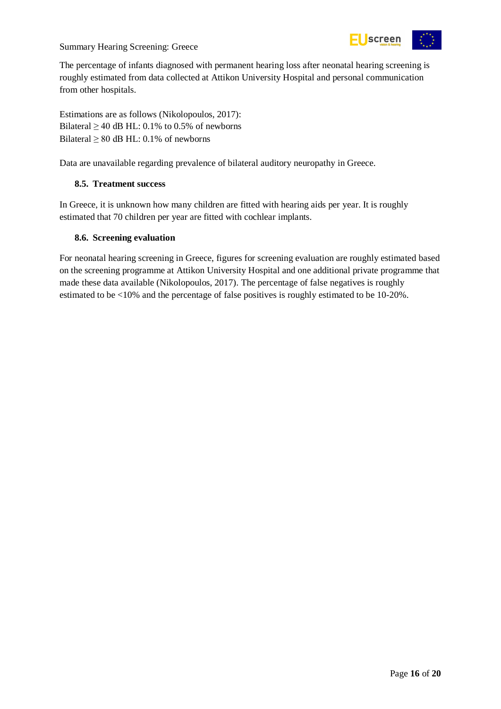#### Summary Hearing Screening: Greece



The percentage of infants diagnosed with permanent hearing loss after neonatal hearing screening is roughly estimated from data collected at Attikon University Hospital and personal communication from other hospitals.

Estimations are as follows (Nikolopoulos, 2017): Bilateral  $\geq$  40 dB HL: 0.1% to 0.5% of newborns Bilateral  $\geq 80$  dB HL: 0.1% of newborns

Data are unavailable regarding prevalence of bilateral auditory neuropathy in Greece.

#### <span id="page-15-0"></span>**8.5. Treatment success**

In Greece, it is unknown how many children are fitted with hearing aids per year. It is roughly estimated that 70 children per year are fitted with cochlear implants.

#### <span id="page-15-1"></span>**8.6. Screening evaluation**

For neonatal hearing screening in Greece, figures for screening evaluation are roughly estimated based on the screening programme at Attikon University Hospital and one additional private programme that made these data available (Nikolopoulos, 2017). The percentage of false negatives is roughly estimated to be <10% and the percentage of false positives is roughly estimated to be 10-20%.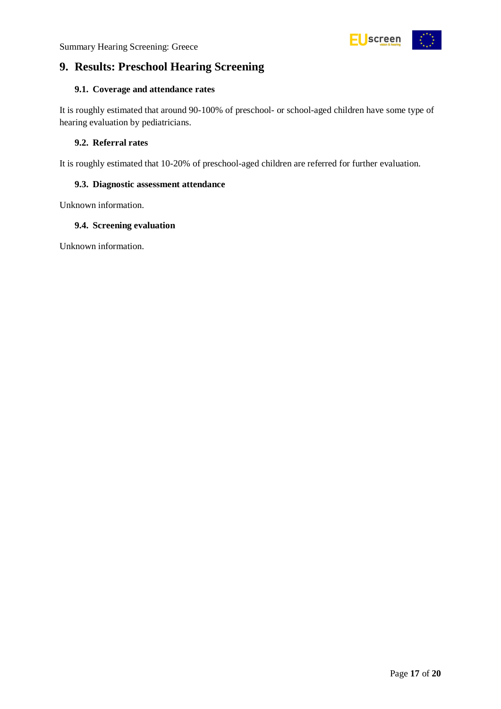

# <span id="page-16-0"></span>**9. Results: Preschool Hearing Screening**

#### <span id="page-16-1"></span>**9.1. Coverage and attendance rates**

It is roughly estimated that around 90-100% of preschool- or school-aged children have some type of hearing evaluation by pediatricians.

#### <span id="page-16-2"></span>**9.2. Referral rates**

It is roughly estimated that 10-20% of preschool-aged children are referred for further evaluation.

#### <span id="page-16-3"></span>**9.3. Diagnostic assessment attendance**

Unknown information.

#### <span id="page-16-4"></span>**9.4. Screening evaluation**

Unknown information.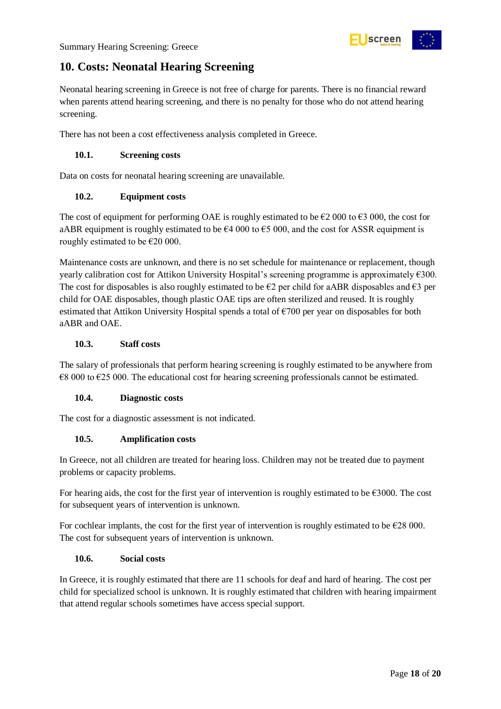

### <span id="page-17-0"></span>**10. Costs: Neonatal Hearing Screening**

Neonatal hearing screening in Greece is not free of charge for parents. There is no financial reward when parents attend hearing screening, and there is no penalty for those who do not attend hearing screening.

There has not been a cost effectiveness analysis completed in Greece.

#### <span id="page-17-1"></span>**10.1. Screening costs**

Data on costs for neonatal hearing screening are unavailable.

#### <span id="page-17-2"></span>**10.2. Equipment costs**

The cost of equipment for performing OAE is roughly estimated to be  $\epsilon$ 2 000 to  $\epsilon$ 3 000, the cost for aABR equipment is roughly estimated to be  $64\,000$  to  $65\,000$ , and the cost for ASSR equipment is roughly estimated to be  $E20000$ .

Maintenance costs are unknown, and there is no set schedule for maintenance or replacement, though yearly calibration cost for Attikon University Hospital's screening programme is approximately €300. The cost for disposables is also roughly estimated to be  $\epsilon$ 2 per child for aABR disposables and  $\epsilon$ 3 per child for OAE disposables, though plastic OAE tips are often sterilized and reused. It is roughly estimated that Attikon University Hospital spends a total of €700 per year on disposables for both aABR and OAE.

#### <span id="page-17-3"></span>**10.3. Staff costs**

The salary of professionals that perform hearing screening is roughly estimated to be anywhere from  $\epsilon$ 8 000 to  $\epsilon$ 25 000. The educational cost for hearing screening professionals cannot be estimated.

#### <span id="page-17-4"></span>**10.4. Diagnostic costs**

The cost for a diagnostic assessment is not indicated.

#### <span id="page-17-5"></span>**10.5. Amplification costs**

In Greece, not all children are treated for hearing loss. Children may not be treated due to payment problems or capacity problems.

For hearing aids, the cost for the first year of intervention is roughly estimated to be €3000. The cost for subsequent years of intervention is unknown.

For cochlear implants, the cost for the first year of intervention is roughly estimated to be  $\epsilon$ 28 000. The cost for subsequent years of intervention is unknown.

#### <span id="page-17-6"></span>**10.6. Social costs**

In Greece, it is roughly estimated that there are 11 schools for deaf and hard of hearing. The cost per child for specialized school is unknown. It is roughly estimated that children with hearing impairment that attend regular schools sometimes have access special support.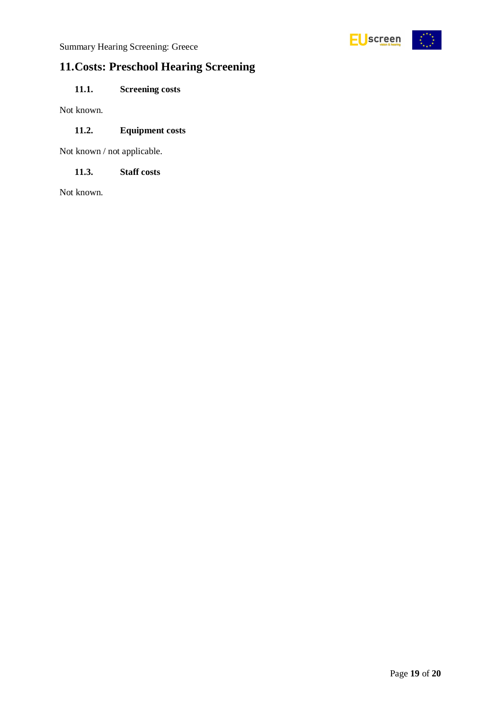

# <span id="page-18-0"></span>**11.Costs: Preschool Hearing Screening**

<span id="page-18-1"></span>**11.1. Screening costs**

Not known.

#### <span id="page-18-2"></span>**11.2. Equipment costs**

Not known / not applicable.

#### <span id="page-18-3"></span>**11.3. Staff costs**

Not known.